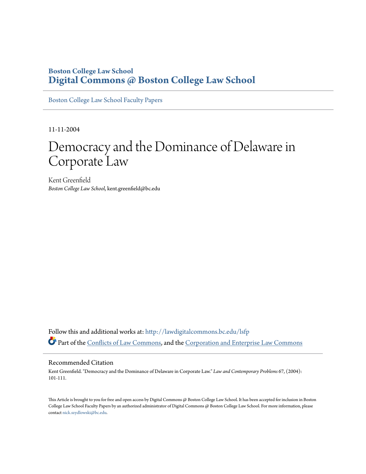# **Boston College Law School [Digital Commons @ Boston College Law School](http://lawdigitalcommons.bc.edu?utm_source=lawdigitalcommons.bc.edu%2Flsfp%2F27&utm_medium=PDF&utm_campaign=PDFCoverPages)**

[Boston College Law School Faculty Papers](http://lawdigitalcommons.bc.edu/lsfp?utm_source=lawdigitalcommons.bc.edu%2Flsfp%2F27&utm_medium=PDF&utm_campaign=PDFCoverPages)

11-11-2004

# Democracy and the Dominance of Delaware in Corporate Law

Kent Greenfield *Boston College Law School*, kent.greenfield@bc.edu

Follow this and additional works at: [http://lawdigitalcommons.bc.edu/lsfp](http://lawdigitalcommons.bc.edu/lsfp?utm_source=lawdigitalcommons.bc.edu%2Flsfp%2F27&utm_medium=PDF&utm_campaign=PDFCoverPages) Part of the [Conflicts of Law Commons](http://network.bepress.com/hgg/discipline/588?utm_source=lawdigitalcommons.bc.edu%2Flsfp%2F27&utm_medium=PDF&utm_campaign=PDFCoverPages), and the [Corporation and Enterprise Law Commons](http://network.bepress.com/hgg/discipline/900?utm_source=lawdigitalcommons.bc.edu%2Flsfp%2F27&utm_medium=PDF&utm_campaign=PDFCoverPages)

# Recommended Citation

Kent Greenfield. "Democracy and the Dominance of Delaware in Corporate Law." *Law and Contemporary Problems* 67, (2004): 101-111.

This Article is brought to you for free and open access by Digital Commons @ Boston College Law School. It has been accepted for inclusion in Boston College Law School Faculty Papers by an authorized administrator of Digital Commons @ Boston College Law School. For more information, please contact [nick.szydlowski@bc.edu](mailto:nick.szydlowski@bc.edu).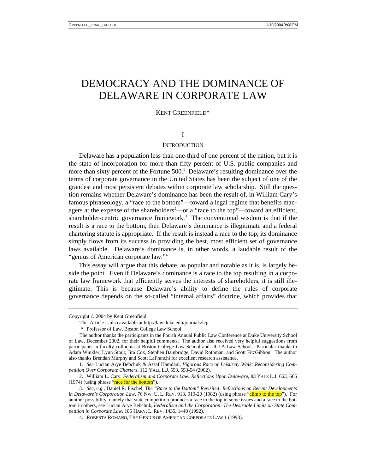# DEMOCRACY AND THE DOMINANCE OF DELAWARE IN CORPORATE LAW

#### KENT GREENFIEL[D\\*](#page-1-0)

# I

## **INTRODUCTION**

Delaware has a population less than one-third of one percent of the nation, but it is the state of incorporation for more than fifty percent of U.S. public companies and morethan sixty percent of the Fortune  $500<sup>1</sup>$  Delaware's resulting dominance over the terms of corporate governance in the United States has been the subject of one of the grandest and most persistent debates within corporate law scholarship. Still the question remains whether Delaware's dominance has been the result of, in William Cary's famous phraseology, a "race to the bottom"—toward a legal regime that benefits man-agers at the expense of the shareholders<sup>[2](#page-1-2)</sup>—or a "race to the top"—toward an efficient, shareholder-centric governance framework.<sup>3</sup> The conventional wisdom is that if the result is a race to the bottom, then Delaware's dominance is illegitimate and a federal chartering statute is appropriate. If the result is instead a race to the top, its dominance simply flows from its success in providing the best, most efficient set of governance laws available. Delaware's dominance is, in other words, a laudable result of the "genius of American corporate law.["4](#page-1-4)

This essay will argue that this debate, as popular and notable as it is, is largely beside the point. Even if Delaware's dominance is a race to the top resulting in a corporate law framework that efficiently serves the interests of shareholders, it is still illegitimate. This is because Delaware's ability to define the rules of corporate governance depends on the so-called "internal affairs" doctrine, which provides that

<span id="page-1-0"></span>Copyright © 2004 by Kent Greenfield

This Article is also available at http://law.duke.edu/journals/lcp.

 <sup>\*</sup> Professor of Law, Boston College Law School.

The author thanks the participants in the Fourth Annual Public Law Conference at Duke University School of Law, December 2002, for their helpful comments. The author also received very helpful suggestions from participants in faculty colloquia at Boston College Law School and UCLA Law School. Particular thanks to Adam Winkler, Lynn Stout, Jim Cox, Stephen Bainbridge, David Rothman, and Scott FitzGibbon. The author also thanks Brendan Murphy and Scott LaFranchi for excellent research assistance.

<span id="page-1-1"></span><sup>1</sup>*. See* Lucian Arye Bebchuk & Assaf Hamdani, *Vigorous Race or Leisurely Walk: Reconsidering Competition Over Corporate Charters*, 112 YALE L.J. 553, 553-54 (2002).

<span id="page-1-2"></span><sup>2.</sup> William L. Cary, *Federalism and Corporate Law: Reflections Upon Delaware*, 83 YALE L.J. 663, 666  $(1974)$  (using phrase "race for the bottom").

<span id="page-1-3"></span><sup>3</sup>*. See, e.g.*, Daniel R. Fischel, *The "Race to the Bottom" Revisited: Reflections on Recent Developments in Delaware's Corporation Law*, 76 Nw. U. L. REV. 913, 919-20 (1982) (using phrase "climb to the top"). For another possibility, namely that state competition produces a race to the top in some issues and a race to the bottom in others, see Lucian Arye Bebchuk, *Federalism and the Corporation: The Desirable Limits on State Competition in Corporate Law*, 105 HARV. L. REV. 1435, 1440 (1992).

<span id="page-1-4"></span><sup>4.</sup> ROBERTA ROMANO, THE GENIUS OF AMERICAN CORPORATE LAW 1 (1993).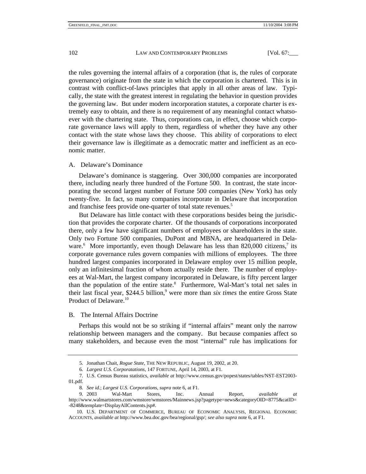the rules governing the internal affairs of a corporation (that is, the rules of corporate governance) originate from the state in which the corporation is chartered. This is in contrast with conflict-of-laws principles that apply in all other areas of law. Typically, the state with the greatest interest in regulating the behavior in question provides the governing law. But under modern incorporation statutes, a corporate charter is extremely easy to obtain, and there is no requirement of any meaningful contact whatsoever with the chartering state. Thus, corporations can, in effect, choose which corporate governance laws will apply to them, regardless of whether they have any other contact with the state whose laws they choose. This ability of corporations to elect their governance law is illegitimate as a democratic matter and inefficient as an economic matter.

#### A. Delaware's Dominance

Delaware's dominance is staggering. Over 300,000 companies are incorporated there, including nearly three hundred of the Fortune 500. In contrast, the state incorporating the second largest number of Fortune 500 companies (New York) has only twenty-five. In fact, so many companies incorporate in Delaware that incorporation and franchise fees provide one-quarter of total state revenues.<sup>[5](#page-2-0)</sup>

But Delaware has little contact with these corporations besides being the jurisdiction that provides the corporate charter. Of the thousands of corporations incorporated there, only a few have significant numbers of employees or shareholders in the state. Only two Fortune 500 companies, DuPont and MBNA, are headquartered in Dela-ware.<sup>6</sup>More importantly, even though Delaware has less than 820,000 citizens,<sup>7</sup> its corporate governance rules govern companies with millions of employees. The three hundred largest companies incorporated in Delaware employ over 15 million people, only an infinitesimal fraction of whom actually reside there. The number of employees at Wal-Mart, the largest company incorporated in Delaware, is fifty percent larger than the population of the entire state.<sup>8</sup> Furthermore, Wal-Mart's total net sales in their last fiscal year, \$244.5 billion,<sup>9</sup> were more than *six times* the entire Gross State Product of Delaware.<sup>[10](#page-2-5)</sup>

B. The Internal Affairs Doctrine

Perhaps this would not be so striking if "internal affairs" meant only the narrow relationship between managers and the company. But because companies affect so many stakeholders, and because even the most "internal" rule has implications for

<span id="page-2-0"></span><sup>5.</sup> Jonathan Chait, *Rogue State*, THE NEW REPUBLIC, August 19, 2002, at 20.

<span id="page-2-2"></span><span id="page-2-1"></span><sup>6</sup>*. Largest U.S. Corporatations*, 147 FORTUNE, April 14, 2003, at F1.

<sup>7.</sup> U.S. Census Bureau statistics, *available at* http://www.census.gov/popest/states/tables/NST-EST2003- 01.pdf.

<span id="page-2-4"></span><span id="page-2-3"></span><sup>8</sup>*. See id.*; *Largest U.S. Corporations*, *supra* note 6, at F1.

<sup>9. 2003</sup> Wal-Mart Stores, Inc. Annual Report, *available at* http://www.walmartstores.com/wmstore/wmstores/Mainnews.jsp?pagetype=news&categoryOID=8775&catID= -8248&template=DisplayAllContents.jsp#.

<span id="page-2-5"></span><sup>10.</sup> U.S. DEPARTMENT OF COMMERCE, BUREAU OF ECONOMIC ANALYSIS, REGIONAL ECONOMIC ACCOUNTS, *available at* http://www.bea.doc.gov/bea/regional/gsp/; *see also supra* note 6, at F1.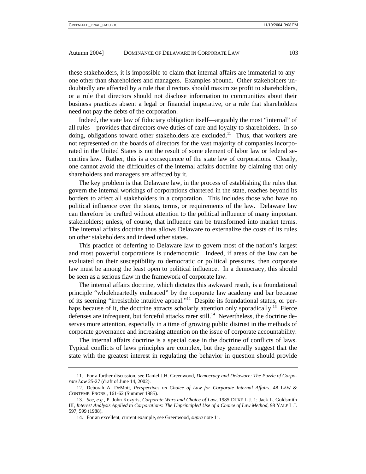these stakeholders, it is impossible to claim that internal affairs are immaterial to anyone other than shareholders and managers. Examples abound. Other stakeholders undoubtedly are affected by a rule that directors should maximize profit to shareholders, or a rule that directors should not disclose information to communities about their business practices absent a legal or financial imperative, or a rule that shareholders need not pay the debts of the corporation.

Indeed, the state law of fiduciary obligation itself—arguably the most "internal" of all rules—provides that directors owe duties of care and loyalty to shareholders. In so doing, obligations toward other stakeholders are excluded.<sup>11</sup> Thus, that workers are not represented on the boards of directors for the vast majority of companies incorporated in the United States is not the result of some element of labor law or federal securities law. Rather, this is a consequence of the state law of corporations. Clearly, one cannot avoid the difficulties of the internal affairs doctrine by claiming that only shareholders and managers are affected by it.

The key problem is that Delaware law, in the process of establishing the rules that govern the internal workings of corporations chartered in the state, reaches beyond its borders to affect all stakeholders in a corporation. This includes those who have no political influence over the status, terms, or requirements of the law. Delaware law can therefore be crafted without attention to the political influence of many important stakeholders; unless, of course, that influence can be transformed into market terms. The internal affairs doctrine thus allows Delaware to externalize the costs of its rules on other stakeholders and indeed other states.

This practice of deferring to Delaware law to govern most of the nation's largest and most powerful corporations is undemocratic. Indeed, if areas of the law can be evaluated on their susceptibility to democratic or political pressures, then corporate law must be among the least open to political influence. In a democracy, this should be seen as a serious flaw in the framework of corporate law.

The internal affairs doctrine, which dictates this awkward result, is a foundational principle "wholeheartedly embraced" by the corporate law academy and bar because of its seeming "irresistible intuitive appeal.["12](#page-3-1) Despite its foundational status, or perhaps because of it, the doctrine attracts scholarly attention only sporadically.<sup>13</sup> Fierce defenses are infrequent, but forceful attacks rarer still.<sup>14</sup> Nevertheless, the doctrine deserves more attention, especially in a time of growing public distrust in the methods of corporate governance and increasing attention on the issue of corporate accountability.

The internal affairs doctrine is a special case in the doctrine of conflicts of laws. Typical conflicts of laws principles are complex, but they generally suggest that the state with the greatest interest in regulating the behavior in question should provide

<span id="page-3-0"></span><sup>11.</sup> For a further discussion, see Daniel J.H. Greenwood, *Democracy and Delaware: The Puzzle of Corporate Law* 25-27 (draft of June 14, 2002).

<span id="page-3-1"></span><sup>12.</sup> Deborah A. DeMott, *Perspectives on Choice of Law for Corporate Internal Affairs*, 48 LAW & CONTEMP. PROBS., 161-62 (Summer 1985).

<span id="page-3-2"></span><sup>13</sup>*. See, e.g.*, P. John Kozyris, *Corporate Wars and Choice of Law*, 1985 DUKE L.J. 1; Jack L. Goldsmith III, *Interest Analysis Applied to Corporations: The Unprincipled Use of a Choice of Law Method*, 98 YALE L.J. 597, 599 (1988).

<span id="page-3-3"></span><sup>14.</sup> For an excellent, current example, see Greenwood, *supra* note 11*.*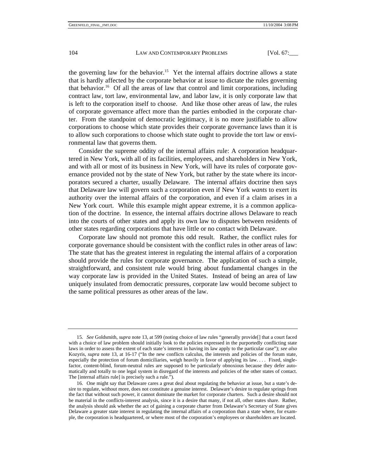the governing law for the behavior.<sup>15</sup> Yet the internal affairs doctrine allows a state that is hardly affected by the corporate behavior at issue to dictate the rules governing that behavior[.16](#page-4-1) Of all the areas of law that control and limit corporations, including contract law, tort law, environmental law, and labor law, it is only corporate law that is left to the corporation itself to choose. And like those other areas of law, the rules of corporate governance affect more than the parties embodied in the corporate charter. From the standpoint of democratic legitimacy, it is no more justifiable to allow corporations to choose which state provides their corporate governance laws than it is to allow such corporations to choose which state ought to provide the tort law or environmental law that governs them.

Consider the supreme oddity of the internal affairs rule: A corporation headquartered in New York, with all of its facilities, employees, and shareholders in New York, and with all or most of its business in New York, will have its rules of corporate governance provided not by the state of New York, but rather by the state where its incorporators secured a charter, usually Delaware. The internal affairs doctrine then says that Delaware law will govern such a corporation even if New York *wants* to exert its authority over the internal affairs of the corporation, and even if a claim arises in a New York court. While this example might appear extreme, it is a common application of the doctrine. In essence, the internal affairs doctrine allows Delaware to reach into the courts of other states and apply its own law to disputes between residents of other states regarding corporations that have little or no contact with Delaware.

Corporate law should not promote this odd result. Rather, the conflict rules for corporate governance should be consistent with the conflict rules in other areas of law: The state that has the greatest interest in regulating the internal affairs of a corporation should provide the rules for corporate governance. The application of such a simple, straightforward, and consistent rule would bring about fundamental changes in the way corporate law is provided in the United States. Instead of being an area of law uniquely insulated from democratic pressures, corporate law would become subject to the same political pressures as other areas of the law.

<span id="page-4-0"></span><sup>15</sup>*. See* Goldsmith, *supra* note 13, at 599 (noting choice of law rules "generally provide[] that a court faced with a choice of law problem should initially look to the policies expressed in the purportedly conflicting state laws in order to assess the extent of each state's interest in having its law apply to the particular case"); *see also* Kozyris, *supra* note 13, at 16-17 ("In the new conflicts calculus, the interests and policies of the forum state, especially the protection of forum domiciliaries, weigh heavily in favor of applying its law. . . . Fixed, singlefactor, content-blind, forum-neutral rules are supposed to be particularly obnoxious because they defer automatically and totally to one legal system in disregard of the interests and policies of the other states of contact. The [internal affairs rule] is precisely such a rule.").

<span id="page-4-1"></span><sup>16.</sup> One might say that Delaware cares a great deal about regulating the behavior at issue, but a state's desire to regulate, without more, does not constitute a genuine interest. Delaware's desire to regulate springs from the fact that without such power, it cannot dominate the market for corporate charters. Such a desire should not be material in the conflicts-interest analysis, since it is a desire that many, if not all, other states share. Rather, the analysis should ask whether the act of gaining a corporate charter from Delaware's Secretary of State gives Delaware a greater state interest in regulating the internal affairs of a corporation than a state where, for example, the corporation is headquartered, or where most of the corporation's employees or shareholders are located.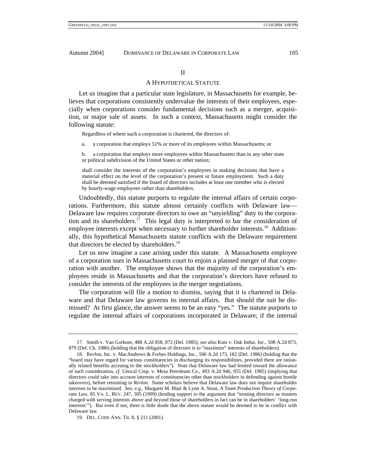# II

# A HYPOTHETICAL STATUTE

Let us imagine that a particular state legislature, in Massachusetts for example, believes that corporations consistently undervalue the interests of their employees, especially when corporations consider fundamental decisions such as a merger, acquisition, or major sale of assets. In such a context, Massachusetts might consider the following statute:

Regardless of where such a corporation is chartered, the directors of:

a. a corporation that employs 51% or more of its employees within Massachusetts; or

b. a corporation that employs more employees within Massachusetts than in any other state or political subdivision of the United States or other nation;

shall consider the interests of the corporation's employees in making decisions that have a material effect on the level of the corporation's present or future employment. Such a duty shall be deemed satisfied if the board of directors includes at least one member who is elected by hourly-wage employees rather than shareholders.

Undoubtedly, this statute purports to regulate the internal affairs of certain corporations. Furthermore, this statute almost certainly conflicts with Delaware law— Delaware law requires corporate directors to owe an "unyielding" duty to the corporation and its shareholders.<sup>17</sup> This legal duty is interpreted to bar the consideration of employee interests except when necessary to further shareholder interests.<sup>18</sup> Additionally, this hypothetical Massachusetts statute conflicts with the Delaware requirement that directors be elected by shareholders.[19](#page-5-2)

Let us now imagine a case arising under this statute. A Massachusetts employee of a corporation sues in Massachusetts court to enjoin a planned merger of that corporation with another. The employee shows that the majority of the corporation's employees reside in Massachusetts and that the corporation's directors have refused to consider the interests of the employees in the merger negotiations.

The corporation will file a motion to dismiss, saying that it is chartered in Delaware and that Delaware law governs its internal affairs. But should the suit be dismissed? At first glance, the answer seems to be an easy "yes." The statute purports to regulate the internal affairs of corporations incorporated in Delaware; if the internal

<span id="page-5-0"></span><sup>17.</sup> Smith v. Van Gorkom, 488 A.2d 858, 872 (Del. 1985); *see also* Katz v. Oak Indus. Inc., 508 A.2d 873, 879 (Del. Ch. 1986) (holding that the obligation of directors is to "maximize" interests of shareholders).

<span id="page-5-1"></span><sup>18.</sup> Revlon, Inc. v. MacAndrews & Forbes Holdings, Inc., 506 A.2d 173, 182 (Del. 1986) (holding that the "board may have regard for various constituencies in discharging its responsibilities, provided there are rationally related benefits accruing to the stockholders"). Note that Delaware law had feinted toward the allowance of such consideration, *cf.* Unocal Corp. v. Mesa Petroleum Co., 493 A.2d 946, 955 (Del. 1985) (implying that directors could take into account interests of constituencies other than stockholders in defending against hostile takeovers), before retreating in *Revlon*. Some scholars believe that Delaware law does not require shareholder interests to be maximized. *See, e.g.*, Margaret M. Blair & Lynn A. Stout, *A Team Production Theory of Corporate Law*, 85 VA. L. REV. 247, 305 (1999) (lending support to the argument that "treating directors as trustees charged with serving interests above and beyond those of shareholders in fact can be in shareholders' 'long-run interests'"). But even if not, there is little doubt that the above statute would be deemed to be in conflict with Delaware law.

<span id="page-5-2"></span><sup>19.</sup> DEL. CODE ANN. Tit. 8, § 211 (2001).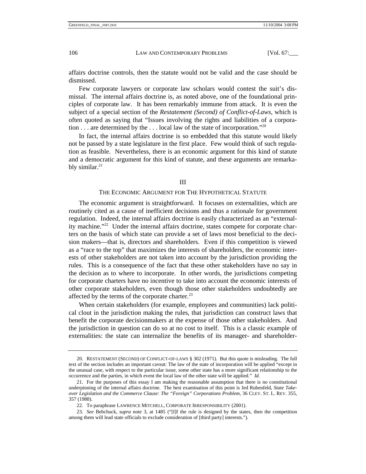affairs doctrine controls, then the statute would not be valid and the case should be dismissed.

Few corporate lawyers or corporate law scholars would contest the suit's dismissal. The internal affairs doctrine is, as noted above, one of the foundational principles of corporate law. It has been remarkably immune from attack. It is even the subject of a special section of the *Restatement (Second) of Conflict-of-Laws*, which is often quoted as saying that "Issues involving the rights and liabilities of a corporation  $\dots$  are determined by the  $\dots$  local law of the state of incorporation."<sup>[20](#page-6-0)</sup>

In fact, the internal affairs doctrine is so embedded that this statute would likely not be passed by a state legislature in the first place. Few would think of such regulation as feasible. Nevertheless, there is an economic argument for this kind of statute and a democratic argument for this kind of statute, and these arguments are remarkably similar. $21$ 

#### III

#### THE ECONOMIC ARGUMENT FOR THE HYPOTHETICAL STATUTE

The economic argument is straightforward. It focuses on externalities, which are routinely cited as a cause of inefficient decisions and thus a rationale for government regulation. Indeed, the internal affairs doctrine is easily characterized as an "externality machine."<sup>22</sup> Under the internal affairs doctrine, states compete for corporate charters on the basis of which state can provide a set of laws most beneficial to the decision makers—that is, directors and shareholders. Even if this competition is viewed as a "race to the top" that maximizes the interests of shareholders, the economic interests of other stakeholders are not taken into account by the jurisdiction providing the rules. This is a consequence of the fact that these other stakeholders have no say in the decision as to where to incorporate. In other words, the jurisdictions competing for corporate charters have no incentive to take into account the economic interests of other corporate stakeholders, even though those other stakeholders undoubtedly are affected by the terms of the corporate charter.<sup>[23](#page-6-3)</sup>

When certain stakeholders (for example, employees and communities) lack political clout in the jurisdiction making the rules, that jurisdiction can construct laws that benefit the corporate decisionmakers at the expense of those other stakeholders. And the jurisdiction in question can do so at no cost to itself. This is a classic example of externalities: the state can internalize the benefits of its manager- and shareholder-

<span id="page-6-0"></span><sup>20.</sup> RESTATEMENT (SECOND) OF CONFLICT-OF-LAWS § 302 (1971). But this quote is misleading. The full text of the section includes an important caveat: The law of the state of incorporation will be applied "except in the unusual case, with respect to the particular issue, some other state has a more significant relationship to the occurrence and the parties, in which event the local law of the other state will be applied." *Id.* 

<span id="page-6-1"></span><sup>21.</sup> For the purposes of this essay I am making the reasonable assumption that there is no constitutional underpinning of the internal affairs doctrine. The best examination of this point is Jed Rubenfeld, *State Takeover Legislation and the Commerce Clause: The "Foreign" Corporations Problem*, 36 CLEV. ST. L. REV. 355, 357 (1988).

<span id="page-6-3"></span><span id="page-6-2"></span><sup>22.</sup> To paraphrase LAWRENCE MITCHELL, CORPORATE IRRESPONSIBILITY (2001).

<sup>23</sup>*. See* Bebchuck, *supra* note 3, at 1485 ("[I]f the rule is designed by the states, then the competition among them will lead state officials to exclude consideration of [third party] interests.").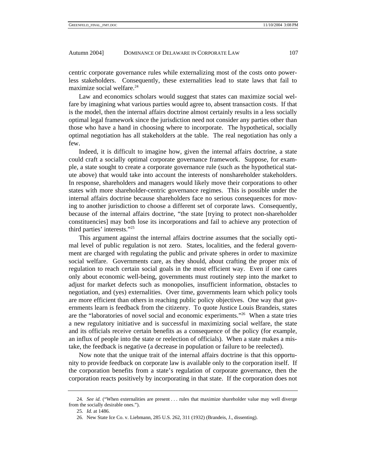centric corporate governance rules while externalizing most of the costs onto powerless stakeholders. Consequently, these externalities lead to state laws that fail to maximize social welfare[.24](#page-7-0)

Law and economics scholars would suggest that states can maximize social welfare by imagining what various parties would agree to, absent transaction costs. If that is the model, then the internal affairs doctrine almost certainly results in a less socially optimal legal framework since the jurisdiction need not consider any parties other than those who have a hand in choosing where to incorporate. The hypothetical, socially optimal negotiation has all stakeholders at the table. The real negotiation has only a few.

Indeed, it is difficult to imagine how, given the internal affairs doctrine, a state could craft a socially optimal corporate governance framework. Suppose, for example, a state sought to create a corporate governance rule (such as the hypothetical statute above) that would take into account the interests of nonshareholder stakeholders. In response, shareholders and managers would likely move their corporations to other states with more shareholder-centric governance regimes. This is possible under the internal affairs doctrine because shareholders face no serious consequences for moving to another jurisdiction to choose a different set of corporate laws. Consequently, because of the internal affairs doctrine, "the state [trying to protect non-shareholder constituencies] may both lose its incorporations and fail to achieve any protection of third parties' interests.["25](#page-7-1)

This argument against the internal affairs doctrine assumes that the socially optimal level of public regulation is not zero. States, localities, and the federal government are charged with regulating the public and private spheres in order to maximize social welfare. Governments care, as they should, about crafting the proper mix of regulation to reach certain social goals in the most efficient way. Even if one cares only about economic well-being, governments must routinely step into the market to adjust for market defects such as monopolies, insufficient information, obstacles to negotiation, and (yes) externalities. Over time, governments learn which policy tools are more efficient than others in reaching public policy objectives. One way that governments learn is feedback from the citizenry. To quote Justice Louis Brandeis, states are the "laboratories of novel social and economic experiments."[26](#page-7-2) When a state tries a new regulatory initiative and is successful in maximizing social welfare, the state and its officials receive certain benefits as a consequence of the policy (for example, an influx of people into the state or reelection of officials). When a state makes a mistake, the feedback is negative (a decrease in population or failure to be reelected).

Now note that the unique trait of the internal affairs doctrine is that this opportunity to provide feedback on corporate law is available only to the corporation itself. If the corporation benefits from a state's regulation of corporate governance, then the corporation reacts positively by incorporating in that state. If the corporation does not

<span id="page-7-0"></span><sup>24</sup>*. See id*. ("When externalities are present . . . rules that maximize shareholder value may well diverge from the socially desirable ones.").

<span id="page-7-1"></span><sup>25</sup>*. Id.* at 1486.

<span id="page-7-2"></span><sup>26.</sup> New State Ice Co. v. Liebmann, 285 U.S. 262, 311 (1932) (Brandeis, J., dissenting).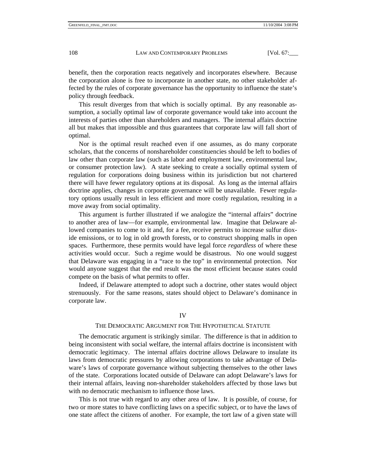benefit, then the corporation reacts negatively and incorporates elsewhere. Because the corporation alone is free to incorporate in another state, no other stakeholder affected by the rules of corporate governance has the opportunity to influence the state's policy through feedback.

This result diverges from that which is socially optimal. By any reasonable assumption, a socially optimal law of corporate governance would take into account the interests of parties other than shareholders and managers. The internal affairs doctrine all but makes that impossible and thus guarantees that corporate law will fall short of optimal.

Nor is the optimal result reached even if one assumes, as do many corporate scholars, that the concerns of nonshareholder constituencies should be left to bodies of law other than corporate law (such as labor and employment law, environmental law, or consumer protection law). A state seeking to create a socially optimal system of regulation for corporations doing business within its jurisdiction but not chartered there will have fewer regulatory options at its disposal. As long as the internal affairs doctrine applies, changes in corporate governance will be unavailable. Fewer regulatory options usually result in less efficient and more costly regulation, resulting in a move away from social optimality.

This argument is further illustrated if we analogize the "internal affairs" doctrine to another area of law—for example, environmental law. Imagine that Delaware allowed companies to come to it and, for a fee, receive permits to increase sulfur dioxide emissions, or to log in old growth forests, or to construct shopping malls in open spaces. Furthermore, these permits would have legal force *regardless* of where these activities would occur. Such a regime would be disastrous. No one would suggest that Delaware was engaging in a "race to the top" in environmental protection. Nor would anyone suggest that the end result was the most efficient because states could compete on the basis of what permits to offer.

Indeed, if Delaware attempted to adopt such a doctrine, other states would object strenuously. For the same reasons, states should object to Delaware's dominance in corporate law.

#### IV

#### THE DEMOCRATIC ARGUMENT FOR THE HYPOTHETICAL STATUTE

The democratic argument is strikingly similar. The difference is that in addition to being inconsistent with social welfare, the internal affairs doctrine is inconsistent with democratic legitimacy. The internal affairs doctrine allows Delaware to insulate its laws from democratic pressures by allowing corporations to take advantage of Delaware's laws of corporate governance without subjecting themselves to the other laws of the state. Corporations located outside of Delaware can adopt Delaware's laws for their internal affairs, leaving non-shareholder stakeholders affected by those laws but with no democratic mechanism to influence those laws.

This is not true with regard to any other area of law. It is possible, of course, for two or more states to have conflicting laws on a specific subject, or to have the laws of one state affect the citizens of another. For example, the tort law of a given state will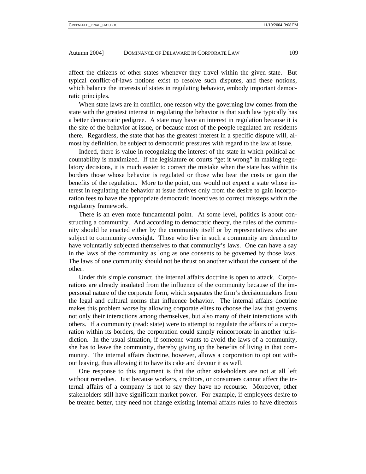affect the citizens of other states whenever they travel within the given state. But typical conflict-of-laws notions exist to resolve such disputes, and these notions, which balance the interests of states in regulating behavior, embody important democratic principles.

When state laws are in conflict, one reason why the governing law comes from the state with the greatest interest in regulating the behavior is that such law typically has a better democratic pedigree. A state may have an interest in regulation because it is the site of the behavior at issue, or because most of the people regulated are residents there. Regardless, the state that has the greatest interest in a specific dispute will, almost by definition, be subject to democratic pressures with regard to the law at issue.

Indeed, there is value in recognizing the interest of the state in which political accountability is maximized. If the legislature or courts "get it wrong" in making regulatory decisions, it is much easier to correct the mistake when the state has within its borders those whose behavior is regulated or those who bear the costs or gain the benefits of the regulation. More to the point, one would not expect a state whose interest in regulating the behavior at issue derives only from the desire to gain incorporation fees to have the appropriate democratic incentives to correct missteps within the regulatory framework.

There is an even more fundamental point. At some level, politics is about constructing a community. And according to democratic theory, the rules of the community should be enacted either by the community itself or by representatives who are subject to community oversight. Those who live in such a community are deemed to have voluntarily subjected themselves to that community's laws. One can have a say in the laws of the community as long as one consents to be governed by those laws. The laws of one community should not be thrust on another without the consent of the other.

Under this simple construct, the internal affairs doctrine is open to attack. Corporations are already insulated from the influence of the community because of the impersonal nature of the corporate form, which separates the firm's decisionmakers from the legal and cultural norms that influence behavior. The internal affairs doctrine makes this problem worse by allowing corporate elites to choose the law that governs not only their interactions among themselves, but also many of their interactions with others. If a community (read: state) were to attempt to regulate the affairs of a corporation within its borders, the corporation could simply reincorporate in another jurisdiction. In the usual situation, if someone wants to avoid the laws of a community, she has to leave the community, thereby giving up the benefits of living in that community. The internal affairs doctrine, however, allows a corporation to opt out without leaving, thus allowing it to have its cake and devour it as well.

One response to this argument is that the other stakeholders are not at all left without remedies. Just because workers, creditors, or consumers cannot affect the internal affairs of a company is not to say they have no recourse. Moreover, other stakeholders still have significant market power. For example, if employees desire to be treated better, they need not change existing internal affairs rules to have directors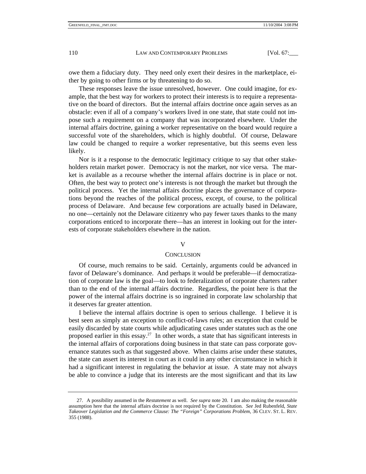owe them a fiduciary duty. They need only exert their desires in the marketplace, either by going to other firms or by threatening to do so.

These responses leave the issue unresolved, however. One could imagine, for example, that the best way for workers to protect their interests is to require a representative on the board of directors. But the internal affairs doctrine once again serves as an obstacle: even if all of a company's workers lived in one state, that state could not impose such a requirement on a company that was incorporated elsewhere. Under the internal affairs doctrine, gaining a worker representative on the board would require a successful vote of the shareholders, which is highly doubtful. Of course, Delaware law could be changed to require a worker representative, but this seems even less likely.

Nor is it a response to the democratic legitimacy critique to say that other stakeholders retain market power. Democracy is not the market, nor vice versa. The market is available as a recourse whether the internal affairs doctrine is in place or not. Often, the best way to protect one's interests is not through the market but through the political process. Yet the internal affairs doctrine places the governance of corporations beyond the reaches of the political process, except, of course, to the political process of Delaware. And because few corporations are actually based in Delaware, no one—certainly not the Delaware citizenry who pay fewer taxes thanks to the many corporations enticed to incorporate there—has an interest in looking out for the interests of corporate stakeholders elsewhere in the nation.

# V

#### **CONCLUSION**

Of course, much remains to be said. Certainly, arguments could be advanced in favor of Delaware's dominance. And perhaps it would be preferable—if democratization of corporate law is the goal—to look to federalization of corporate charters rather than to the end of the internal affairs doctrine. Regardless, the point here is that the power of the internal affairs doctrine is so ingrained in corporate law scholarship that it deserves far greater attention.

I believe the internal affairs doctrine is open to serious challenge. I believe it is best seen as simply an exception to conflict-of-laws rules; an exception that could be easily discarded by state courts while adjudicating cases under statutes such as the one proposed earlier in this essay.<sup>27</sup> In other words, a state that has significant interests in the internal affairs of corporations doing business in that state can pass corporate governance statutes such as that suggested above. When claims arise under these statutes, the state can assert its interest in court as it could in any other circumstance in which it had a significant interest in regulating the behavior at issue. A state may not always be able to convince a judge that its interests are the most significant and that its law

<span id="page-10-0"></span><sup>27.</sup> A possibility assumed in the *Restatement* as well. *See supra* note 20. I am also making the reasonable assumption here that the internal affairs doctrine is not required by the Constitution. *See* Jed Rubenfeld, *State Takeover Legislation and the Commerce Clause: The "Foreign" Corporations Problem*, 36 CLEV. ST. L. REV. 355 (1988).